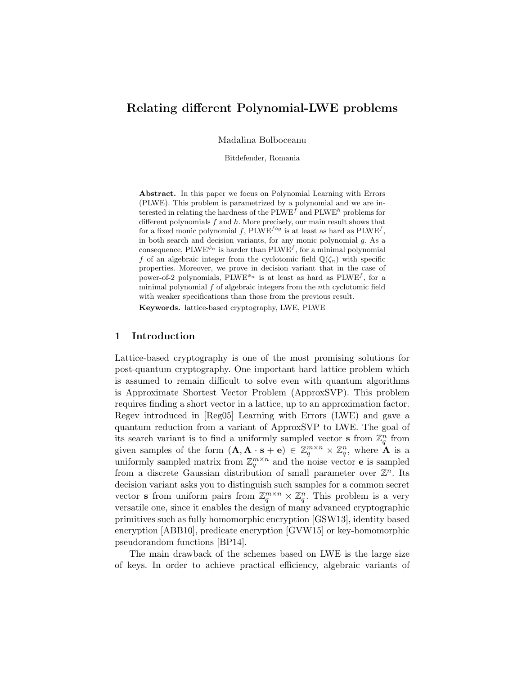# Relating different Polynomial-LWE problems

Madalina Bolboceanu

Bitdefender, Romania

Abstract. In this paper we focus on Polynomial Learning with Errors (PLWE). This problem is parametrized by a polynomial and we are interested in relating the hardness of the  $\text{PLWE}^f$  and  $\text{PLWE}^h$  problems for different polynomials  $f$  and  $h$ . More precisely, our main result shows that for a fixed monic polynomial f, PLWE<sup>f</sup><sup>og</sup> is at least as hard as  $\text{PLWE}^f$ , in both search and decision variants, for any monic polynomial  $g$ . As a consequence,  $\text{PLWE}^{\phi_n}$  is harder than  $\text{PLWE}^f$ , for a minimal polynomial f of an algebraic integer from the cyclotomic field  $\mathbb{Q}(\zeta_n)$  with specific properties. Moreover, we prove in decision variant that in the case of power-of-2 polynomials,  $\text{PLWE}^{\phi_n}$  is at least as hard as  $\text{PLWE}^f$ , for a minimal polynomial  $f$  of algebraic integers from the *n*th cyclotomic field with weaker specifications than those from the previous result.

Keywords. lattice-based cryptography, LWE, PLWE

## 1 Introduction

Lattice-based cryptography is one of the most promising solutions for post-quantum cryptography. One important hard lattice problem which is assumed to remain difficult to solve even with quantum algorithms is Approximate Shortest Vector Problem (ApproxSVP). This problem requires finding a short vector in a lattice, up to an approximation factor. Regev introduced in [Reg05] Learning with Errors (LWE) and gave a quantum reduction from a variant of ApproxSVP to LWE. The goal of its search variant is to find a uniformly sampled vector **s** from  $\mathbb{Z}_q^n$  from given samples of the form  $(A, A \cdot s + e) \in \mathbb{Z}_q^{m \times n} \times \mathbb{Z}_q^n$ , where  $\mathbf{A}$  is a uniformly sampled matrix from  $\mathbb{Z}_q^{m \times n}$  and the noise vector **e** is sampled from a discrete Gaussian distribution of small parameter over  $\mathbb{Z}^n$ . Its decision variant asks you to distinguish such samples for a common secret vector **s** from uniform pairs from  $\mathbb{Z}_q^{m \times n} \times \mathbb{Z}_q^n$ . This problem is a very versatile one, since it enables the design of many advanced cryptographic primitives such as fully homomorphic encryption [GSW13], identity based encryption [ABB10], predicate encryption [GVW15] or key-homomorphic pseudorandom functions [BP14].

The main drawback of the schemes based on LWE is the large size of keys. In order to achieve practical efficiency, algebraic variants of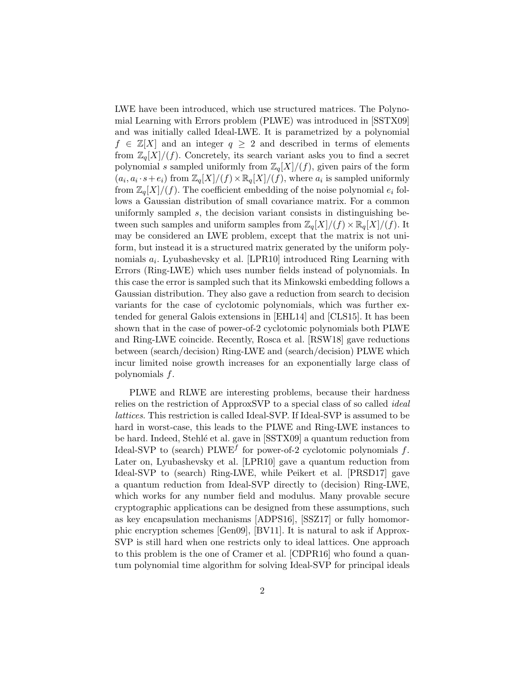LWE have been introduced, which use structured matrices. The Polynomial Learning with Errors problem (PLWE) was introduced in [SSTX09] and was initially called Ideal-LWE. It is parametrized by a polynomial  $f \in \mathbb{Z}[X]$  and an integer  $q \geq 2$  and described in terms of elements from  $\mathbb{Z}_q[X]/(f)$ . Concretely, its search variant asks you to find a secret polynomial s sampled uniformly from  $\mathbb{Z}_q[X]/(f)$ , given pairs of the form  $(a_i, a_i \cdot s + e_i)$  from  $\mathbb{Z}_q[X]/(f) \times \mathbb{R}_q[X]/(f)$ , where  $a_i$  is sampled uniformly from  $\mathbb{Z}_q[X]/(f)$ . The coefficient embedding of the noise polynomial  $e_i$  follows a Gaussian distribution of small covariance matrix. For a common uniformly sampled  $s$ , the decision variant consists in distinguishing between such samples and uniform samples from  $\mathbb{Z}_q[X]/(f) \times \mathbb{R}_q[X]/(f)$ . It may be considered an LWE problem, except that the matrix is not uniform, but instead it is a structured matrix generated by the uniform polynomials  $a_i$ . Lyubashevsky et al. [LPR10] introduced Ring Learning with Errors (Ring-LWE) which uses number fields instead of polynomials. In this case the error is sampled such that its Minkowski embedding follows a Gaussian distribution. They also gave a reduction from search to decision variants for the case of cyclotomic polynomials, which was further extended for general Galois extensions in [EHL14] and [CLS15]. It has been shown that in the case of power-of-2 cyclotomic polynomials both PLWE and Ring-LWE coincide. Recently, Rosca et al. [RSW18] gave reductions between (search/decision) Ring-LWE and (search/decision) PLWE which incur limited noise growth increases for an exponentially large class of polynomials f.

PLWE and RLWE are interesting problems, because their hardness relies on the restriction of ApproxSVP to a special class of so called *ideal* lattices. This restriction is called Ideal-SVP. If Ideal-SVP is assumed to be hard in worst-case, this leads to the PLWE and Ring-LWE instances to be hard. Indeed, Stehlé et al. gave in [SSTX09] a quantum reduction from Ideal-SVP to (search)  $\text{PLWE}^f$  for power-of-2 cyclotomic polynomials f. Later on, Lyubashevsky et al. [LPR10] gave a quantum reduction from Ideal-SVP to (search) Ring-LWE, while Peikert et al. [PRSD17] gave a quantum reduction from Ideal-SVP directly to (decision) Ring-LWE, which works for any number field and modulus. Many provable secure cryptographic applications can be designed from these assumptions, such as key encapsulation mechanisms [ADPS16], [SSZ17] or fully homomorphic encryption schemes [Gen09], [BV11]. It is natural to ask if Approx-SVP is still hard when one restricts only to ideal lattices. One approach to this problem is the one of Cramer et al. [CDPR16] who found a quantum polynomial time algorithm for solving Ideal-SVP for principal ideals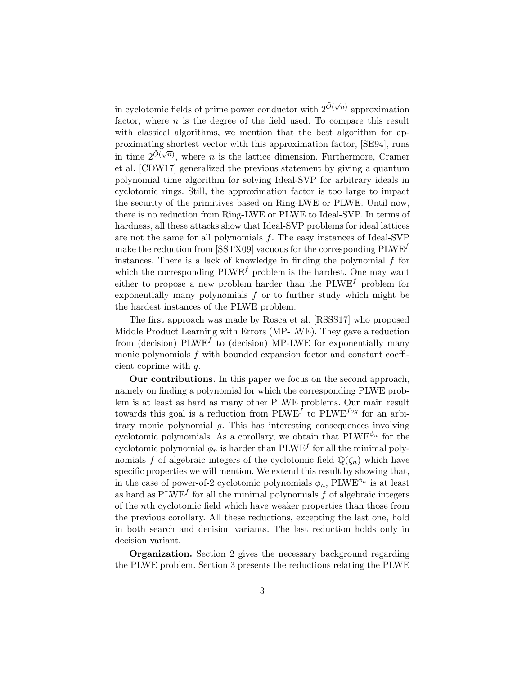in cyclotomic fields of prime power conductor with  $2^{\tilde{O}(\sqrt{n})}$  approximation factor, where  $n$  is the degree of the field used. To compare this result with classical algorithms, we mention that the best algorithm for approximating shortest vector with this approximation factor, [SE94], runs in time  $2^{\tilde{O}(\sqrt{n})}$ , where *n* is the lattice dimension. Furthermore, Cramer et al. [CDW17] generalized the previous statement by giving a quantum polynomial time algorithm for solving Ideal-SVP for arbitrary ideals in cyclotomic rings. Still, the approximation factor is too large to impact the security of the primitives based on Ring-LWE or PLWE. Until now, there is no reduction from Ring-LWE or PLWE to Ideal-SVP. In terms of hardness, all these attacks show that Ideal-SVP problems for ideal lattices are not the same for all polynomials f. The easy instances of Ideal-SVP make the reduction from [SSTX09] vacuous for the corresponding  $\text{PLWE}^f$ instances. There is a lack of knowledge in finding the polynomial  $f$  for which the corresponding  $\text{PLWE}^f$  problem is the hardest. One may want either to propose a new problem harder than the  $\text{PLWE}^f$  problem for exponentially many polynomials  $f$  or to further study which might be the hardest instances of the PLWE problem.

The first approach was made by Rosca et al. [RSSS17] who proposed Middle Product Learning with Errors (MP-LWE). They gave a reduction from (decision)  $\text{PLWE}^f$  to (decision) MP-LWE for exponentially many monic polynomials f with bounded expansion factor and constant coefficient coprime with q.

Our contributions. In this paper we focus on the second approach, namely on finding a polynomial for which the corresponding PLWE problem is at least as hard as many other PLWE problems. Our main result towards this goal is a reduction from  $\text{PLWE}^f$  to  $\text{PLWE}^{f \circ g}$  for an arbitrary monic polynomial g. This has interesting consequences involving cyclotomic polynomials. As a corollary, we obtain that  $\text{PLWE}^{\phi_n}$  for the cyclotomic polynomial  $\phi_n$  is harder than  $\mathrm{PLWE}^f$  for all the minimal polynomials f of algebraic integers of the cyclotomic field  $\mathbb{Q}(\zeta_n)$  which have specific properties we will mention. We extend this result by showing that, in the case of power-of-2 cyclotomic polynomials  $\phi_n$ , PLWE<sup> $\phi_n$ </sup> is at least as hard as  $\text{PLWE}^f$  for all the minimal polynomials  $f$  of algebraic integers of the nth cyclotomic field which have weaker properties than those from the previous corollary. All these reductions, excepting the last one, hold in both search and decision variants. The last reduction holds only in decision variant.

Organization. Section 2 gives the necessary background regarding the PLWE problem. Section 3 presents the reductions relating the PLWE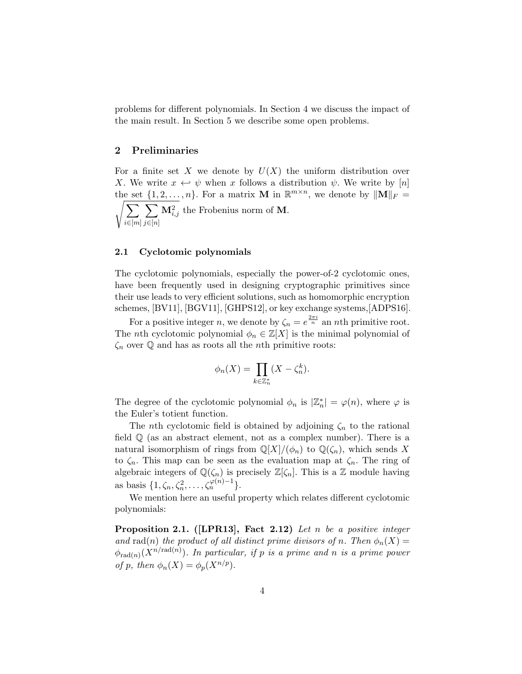problems for different polynomials. In Section 4 we discuss the impact of the main result. In Section 5 we describe some open problems.

# 2 Preliminaries

For a finite set X we denote by  $U(X)$  the uniform distribution over X. We write  $x \leftrightarrow \psi$  when x follows a distribution  $\psi$ . We write by [n] the set  $\{1, 2, ..., n\}$ . For a matrix **M** in  $\mathbb{R}^{m \times n}$ the set  $\{1, 2, ..., n\}$ . For a matrix **M** in  $\mathbb{R}^{m \times n}$ , we denote by  $\|\mathbf{M}\|_F = \sqrt{\sum_{n=1}^{\infty} \sum_{n=1}^{\infty} M_i^2}$ , the Frobenius norm of **M**.  $i \in [m]$  $\sum$  $j \in [n]$  $\mathbf{M}_{i,j}^2$  the Frobenius norm of M.

## 2.1 Cyclotomic polynomials

The cyclotomic polynomials, especially the power-of-2 cyclotomic ones, have been frequently used in designing cryptographic primitives since their use leads to very efficient solutions, such as homomorphic encryption schemes, [BV11], [BGV11], [GHPS12], or key exchange systems,[ADPS16].

For a positive integer *n*, we denote by  $\zeta_n = e^{\frac{2\pi i}{n}}$  an *n*th primitive root. The *n*th cyclotomic polynomial  $\phi_n \in \mathbb{Z}[X]$  is the minimal polynomial of  $\zeta_n$  over  $\mathbb Q$  and has as roots all the *n*th primitive roots:

$$
\phi_n(X) = \prod_{k \in \mathbb{Z}_n^*} (X - \zeta_n^k).
$$

The degree of the cyclotomic polynomial  $\phi_n$  is  $|\mathbb{Z}_n^*| = \varphi(n)$ , where  $\varphi$  is the Euler's totient function.

The *n*th cyclotomic field is obtained by adjoining  $\zeta_n$  to the rational field  $\mathbb Q$  (as an abstract element, not as a complex number). There is a natural isomorphism of rings from  $\mathbb{Q}[X]/(\phi_n)$  to  $\mathbb{Q}(\zeta_n)$ , which sends X to  $\zeta_n$ . This map can be seen as the evaluation map at  $\zeta_n$ . The ring of algebraic integers of  $\mathbb{Q}(\zeta_n)$  is precisely  $\mathbb{Z}[\zeta_n]$ . This is a  $\mathbb Z$  module having as basis  $\{1, \zeta_n, \zeta_n^2, \ldots, \zeta_n^{\varphi(n)-1}\}.$ 

We mention here an useful property which relates different cyclotomic polynomials:

Proposition 2.1. ([LPR13], Fact 2.12) Let n be a positive integer and rad(n) the product of all distinct prime divisors of n. Then  $\phi_n(X)$  $\phi_{\mathrm{rad}(n)}(X^{n/\mathrm{rad}(n)})$ . In particular, if p is a prime and n is a prime power of p, then  $\phi_n(X) = \phi_p(X^{n/p})$ .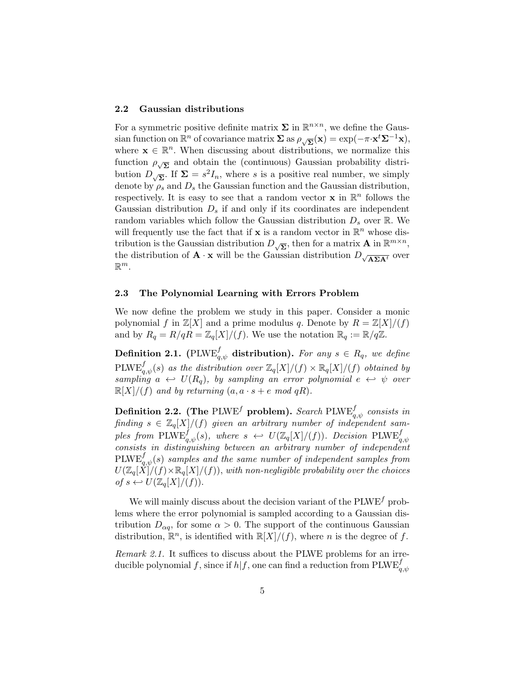#### 2.2 Gaussian distributions

For a symmetric positive definite matrix  $\Sigma$  in  $\mathbb{R}^{n \times n}$ , we define the Gaussian function on  $\mathbb{R}^n$  of covariance matrix  $\Sigma$  as  $\rho_{\sqrt{\Sigma}}(\mathbf{x}) = \exp(-\pi \cdot \mathbf{x}^t \Sigma^{-1} \mathbf{x}),$ where  $\mathbf{x} \in \mathbb{R}^n$ . When discussing about distributions, we normalize this function  $\rho_{\sqrt{\Sigma}}$  and obtain the (continuous) Gaussian probability distribution  $D_{\sqrt{\Sigma}}$ . If  $\Sigma = s^2 I_n$ , where s is a positive real number, we simply denote by  $\rho_s$  and  $D_s$  the Gaussian function and the Gaussian distribution, respectively. It is easy to see that a random vector **x** in  $\mathbb{R}^n$  follows the Gaussian distribution  $D_s$  if and only if its coordinates are independent random variables which follow the Gaussian distribution  $D_s$  over R. We will frequently use the fact that if  $x$  is a random vector in  $\mathbb{R}^n$  whose distribution is the Gaussian distribution  $D_{\sqrt{\Sigma}}$ , then for a matrix **A** in  $\mathbb{R}^{m \times n}$ , the distribution of **A** · **x** will be the Gaussian distribution  $D_{\sqrt{\mathbf{A\Sigma A}^t}}$  over  $\mathbb{R}^m$ .

#### 2.3 The Polynomial Learning with Errors Problem

We now define the problem we study in this paper. Consider a monic polynomial f in  $\mathbb{Z}[X]$  and a prime modulus q. Denote by  $R = \mathbb{Z}[X]/(f)$ and by  $R_q = R/qR = \mathbb{Z}_q[X]/(f)$ . We use the notation  $\mathbb{R}_q := \mathbb{R}/q\mathbb{Z}$ .

Definition 2.1. (PLW $\mathrm{E}^{f}_{q,\psi}$  distribution). For any  $s\,\in\, R_q,\,$  we define  $\text{PLWE}_{q,\psi}^f(s)$  as the distribution over  $\mathbb{Z}_q[X]/(f) \times \mathbb{R}_q[X]/(f)$  obtained by sampling  $a \leftrightarrow U(R_q)$ , by sampling an error polynomial  $e \leftrightarrow \psi$  over  $\mathbb{R}[X]/(f)$  and by returning  $(a, a \cdot s + e \mod qR)$ .

Definition 2.2. (The  $\mathrm{PLWE}^f$  problem). Search  $\mathrm{PLWE}^f_{q,\psi}$  consists in finding  $s \in \mathbb{Z}_q[X]/(f)$  given an arbitrary number of independent samples from  $\text{PLWE}_{q,\psi}^f(s)$ , where  $s \leftrightarrow U(\mathbb{Z}_q[X]/(f))$ . Decision  $\text{PLWE}_{q,\psi}^f$ consists in distinguishing between an arbitrary number of independent  $\mathrm{PLWE}_{q,\psi}^f(s)$  samples and the same number of independent samples from  $U(\mathbb{Z}_q[X]/(f) \times \mathbb{R}_q[X]/(f)),$  with non-negligible probability over the choices of  $s \leftarrow U(\mathbb{Z}_q[X]/(f)).$ 

We will mainly discuss about the decision variant of the  $\text{PLWE}^f$  problems where the error polynomial is sampled according to a Gaussian distribution  $D_{\alpha q}$ , for some  $\alpha > 0$ . The support of the continuous Gaussian distribution,  $\mathbb{R}^n$ , is identified with  $\mathbb{R}[X]/(f)$ , where *n* is the degree of f.

Remark 2.1. It suffices to discuss about the PLWE problems for an irreducible polynomial  $f,$  since if  $h|f,$  one can find a reduction from  $\mathrm{PLWE}_{q,\psi}^f$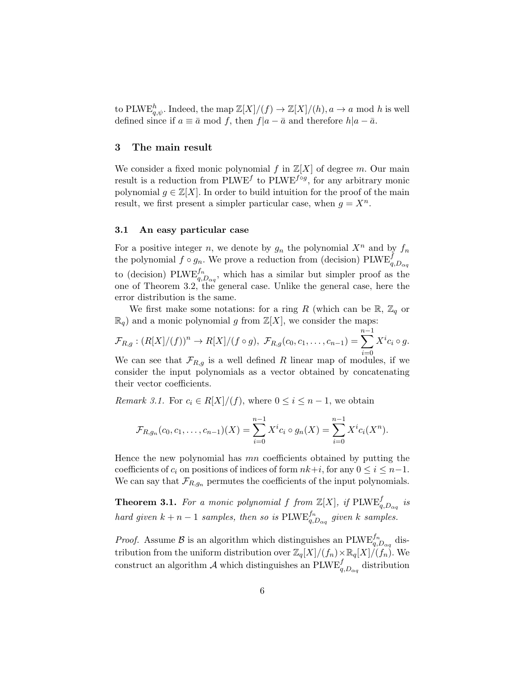to PLWE<sup>h</sup><sub>q, $\psi$ </sub>. Indeed, the map  $\mathbb{Z}[X]/(f) \to \mathbb{Z}[X]/(h)$ ,  $a \to a$  mod h is well defined since if  $a \equiv \bar{a} \mod f$ , then  $f|a - \bar{a}$  and therefore  $h|a - \bar{a}$ .

### 3 The main result

We consider a fixed monic polynomial f in  $\mathbb{Z}[X]$  of degree m. Our main result is a reduction from  $\text{PLWE}^f$  to  $\text{PLWE}^{f \circ g}$ , for any arbitrary monic polynomial  $g \in \mathbb{Z}[X]$ . In order to build intuition for the proof of the main result, we first present a simpler particular case, when  $g = X^n$ .

# 3.1 An easy particular case

For a positive integer n, we denote by  $g_n$  the polynomial  $X^n$  and by  $f_n$ the polynomial  $f \circ g_n$ . We prove a reduction from (decision)  $\text{PLWE}_{q, D_{\alpha q}}^f$ to (decision) PLWE $_{q, D_{\alpha q}}^{f_n}$ , which has a similar but simpler proof as the one of Theorem 3.2, the general case. Unlike the general case, here the error distribution is the same.

We first make some notations: for a ring R (which can be  $\mathbb{R}, \mathbb{Z}_q$  or  $\mathbb{R}_q$  and a monic polynomial g from  $\mathbb{Z}[X]$ , we consider the maps:

$$
\mathcal{F}_{R,g}: (R[X]/(f))^n \to R[X]/(f \circ g), \ \mathcal{F}_{R,g}(c_0, c_1, \ldots, c_{n-1}) = \sum_{i=0}^{n-1} X^i c_i \circ g.
$$

We can see that  $\mathcal{F}_{R,g}$  is a well defined R linear map of modules, if we consider the input polynomials as a vector obtained by concatenating their vector coefficients.

*Remark 3.1.* For  $c_i \in R[X]/(f)$ , where  $0 \leq i \leq n-1$ , we obtain

$$
\mathcal{F}_{R,g_n}(c_0,c_1,\ldots,c_{n-1})(X)=\sum_{i=0}^{n-1}X^ic_i\circ g_n(X)=\sum_{i=0}^{n-1}X^ic_i(X^n).
$$

Hence the new polynomial has  $mn$  coefficients obtained by putting the coefficients of  $c_i$  on positions of indices of form  $nk+i$ , for any  $0 \le i \le n-1$ . We can say that  $\mathcal{F}_{R,q_n}$  permutes the coefficients of the input polynomials.

**Theorem 3.1.** For a monic polynomial f from  $\mathbb{Z}[X]$ , if  $\text{PLWE}_{q,D_{\alpha q}}^f$  is hard given  $k + n - 1$  samples, then so is  $\text{PLWE}_{q, D_{\alpha q}}^{f_n}$  given k samples.

*Proof.* Assume  $\mathcal{B}$  is an algorithm which distinguishes an PLWE $_{q,D_{\alpha q}}^{f_n}$  distribution from the uniform distribution over  $\mathbb{Z}_q[X]/(f_n) \times \mathbb{R}_q[X]/(f_n)$ . We construct an algorithm  $\mathcal A$  which distinguishes an  $\mathrm{PLWE}_{q,D_{\alpha q}}^f$  distribution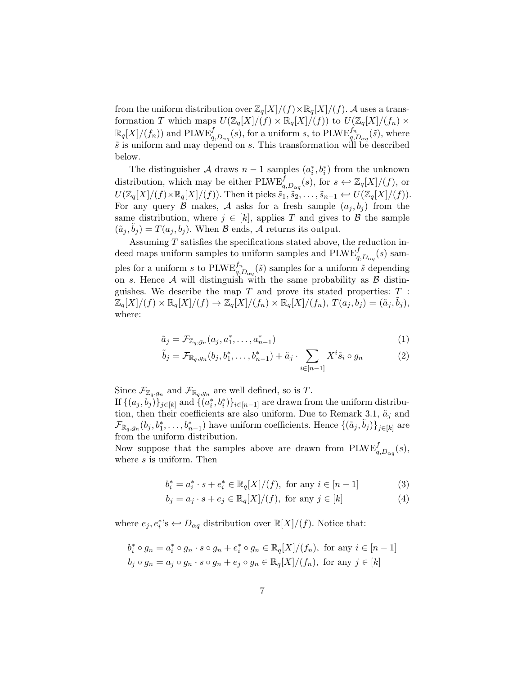from the uniform distribution over  $\mathbb{Z}_q[X]/(f) \times \mathbb{R}_q[X]/(f)$ . A uses a transformation T which maps  $U(\mathbb{Z}_q[X]/(f) \times \mathbb{R}_q[X]/(f))$  to  $U(\mathbb{Z}_q[X]/(f_n) \times$  $\mathbb{R}_q[X]/(f_n)$  and  $\text{PLWE}_{q,D_{\alpha q}}^f(s)$ , for a uniform s, to  $\text{PLWE}_{q,D_{\alpha q}}^{f_n}(\tilde{s})$ , where  $\tilde{s}$  is uniform and may depend on s. This transformation will be described below.

The distinguisher  $A$  draws  $n-1$  samples  $(a_i^*, b_i^*)$  from the unknown distribution, which may be either  $\text{PLWE}_{q,D_{\alpha q}}^f(s)$ , for  $s \leftarrow \mathbb{Z}_q[X]/(f)$ , or  $U(\mathbb{Z}_q[X]/(f)\times \mathbb{R}_q[X]/(f))$ . Then it picks  $\tilde{s}_1, \tilde{s}_2, \ldots, \tilde{s}_{n-1} \leftrightarrow U(\mathbb{Z}_q[X]/(f))$ . For any query B makes, A asks for a fresh sample  $(a_i, b_i)$  from the same distribution, where  $j \in [k]$ , applies T and gives to B the sample  $(\tilde{a}_j, \tilde{b}_j) = T(a_j, b_j)$ . When  $\beta$  ends,  $\mathcal A$  returns its output.

Assuming T satisfies the specifications stated above, the reduction indeed maps uniform samples to uniform samples and  $\text{PLWE}_{q,D_{\alpha q}}^{f}(s)$  samples for a uniform s to  $\text{PLWE}_{q,D_{\alpha q}}^{f_n}(\tilde{s})$  samples for a uniform  $\tilde{s}$  depending on s. Hence  $A$  will distinguish with the same probability as  $B$  distinguishes. We describe the map  $T$  and prove its stated properties:  $T$ :  $\mathbb{Z}_q[X]/(f) \times \mathbb{R}_q[X]/(f) \to \mathbb{Z}_q[X]/(f_n) \times \mathbb{R}_q[X]/(f_n), T(a_j, b_j) = (\tilde{a}_j, \tilde{b}_j),$ where:

$$
\tilde{a}_j = \mathcal{F}_{\mathbb{Z}_q,g_n}(a_j, a_1^*, \dots, a_{n-1}^*)
$$
\n<sup>(1)</sup>

$$
\tilde{b}_j = \mathcal{F}_{\mathbb{R}_q,g_n}(b_j, b_1^*, \dots, b_{n-1}^*) + \tilde{a}_j \cdot \sum_{i \in [n-1]} X^i \tilde{s}_i \circ g_n \tag{2}
$$

Since  $\mathcal{F}_{\mathbb{Z}_q,g_n}$  and  $\mathcal{F}_{\mathbb{R}_q,g_n}$  are well defined, so is T.

If  $\{(a_j, b_j)\}_{j \in [k]}$  and  $\{(a_i^*, b_i^*)\}_{i \in [n-1]}$  are drawn from the uniform distribution, then their coefficients are also uniform. Due to Remark 3.1,  $\tilde{a}_i$  and  $\mathcal{F}_{\mathbb{R}_q,g_n}(b_j,b_1^*,\ldots,b_{n-1}^*)$  have uniform coefficients. Hence  $\{(\tilde{a}_j,\tilde{b}_j)\}_{j\in[k]}$  are from the uniform distribution.

Now suppose that the samples above are drawn from  $\text{PLWE}_{q,D_{\alpha q}}^{f}(s)$ , where  $s$  is uniform. Then

$$
b_i^* = a_i^* \cdot s + e_i^* \in \mathbb{R}_q[X]/(f), \text{ for any } i \in [n-1]
$$
 (3)

$$
b_j = a_j \cdot s + e_j \in \mathbb{R}_q[X]/(f), \text{ for any } j \in [k]
$$
 (4)

where  $e_j, e_i^*$ 's  $\leftrightarrow D_{\alpha q}$  distribution over  $\mathbb{R}[X]/(f)$ . Notice that:

$$
b_i^* \circ g_n = a_i^* \circ g_n \cdot s \circ g_n + e_i^* \circ g_n \in \mathbb{R}_q[X]/(f_n), \text{ for any } i \in [n-1]
$$
  

$$
b_j \circ g_n = a_j \circ g_n \cdot s \circ g_n + e_j \circ g_n \in \mathbb{R}_q[X]/(f_n), \text{ for any } j \in [k]
$$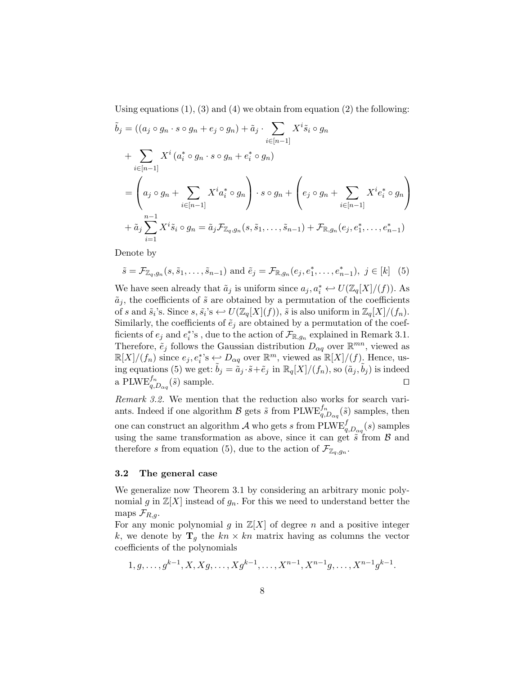Using equations  $(1)$ ,  $(3)$  and  $(4)$  we obtain from equation  $(2)$  the following:

$$
\tilde{b}_{j} = ((a_{j} \circ g_{n} \cdot s \circ g_{n} + e_{j} \circ g_{n}) + \tilde{a}_{j} \cdot \sum_{i \in [n-1]} X^{i} \tilde{s}_{i} \circ g_{n}
$$
\n
$$
+ \sum_{i \in [n-1]} X^{i} (a_{i}^{*} \circ g_{n} \cdot s \circ g_{n} + e_{i}^{*} \circ g_{n})
$$
\n
$$
= \left( a_{j} \circ g_{n} + \sum_{i \in [n-1]} X^{i} a_{i}^{*} \circ g_{n} \right) \cdot s \circ g_{n} + \left( e_{j} \circ g_{n} + \sum_{i \in [n-1]} X^{i} e_{i}^{*} \circ g_{n} \right)
$$
\n
$$
+ \tilde{a}_{j} \sum_{i=1}^{n-1} X^{i} \tilde{s}_{i} \circ g_{n} = \tilde{a}_{j} \mathcal{F}_{\mathbb{Z}_{q}, g_{n}}(s, \tilde{s}_{1}, \dots, \tilde{s}_{n-1}) + \mathcal{F}_{\mathbb{R}, g_{n}}(e_{j}, e_{1}^{*}, \dots, e_{n-1}^{*})
$$

Denote by

$$
\tilde{s} = \mathcal{F}_{\mathbb{Z}_q, g_n}(s, \tilde{s}_1, \dots, \tilde{s}_{n-1})
$$
 and  $\tilde{e}_j = \mathcal{F}_{\mathbb{R}, g_n}(e_j, e_1^*, \dots, e_{n-1}^*), j \in [k]$  (5)

We have seen already that  $\tilde{a}_j$  is uniform since  $a_j, a_i^* \leftrightarrow U(\mathbb{Z}_q[X]/(f))$ . As  $\tilde{a}_j$ , the coefficients of  $\tilde{s}$  are obtained by a permutation of the coefficients of s and  $\tilde{s}_i$ 's. Since  $s, \tilde{s}_i$ 's  $\hookleftarrow U(\mathbb{Z}_q[X](f)),$   $\tilde{s}$  is also uniform in  $\mathbb{Z}_q[X]/(f_n)$ . Similarly, the coefficients of  $\tilde{e}_j$  are obtained by a permutation of the coefficients of  $e_j$  and  $e_i^*$ 's, due to the action of  $\mathcal{F}_{\mathbb{R},g_n}$  explained in Remark 3.1. Therefore,  $\tilde{e}_j$  follows the Gaussian distribution  $D_{\alpha q}$  over  $\mathbb{R}^{mn}$ , viewed as  $\mathbb{R}[X]/(f_n)$  since  $e_j, e_i^*$ 's  $\hookleftarrow D_{\alpha q}$  over  $\mathbb{R}^m$ , viewed as  $\mathbb{R}[X]/(f)$ . Hence, using equations (5) we get:  $\tilde{b}_j = \tilde{a}_j \cdot \tilde{s} + \tilde{e}_j$  in  $\mathbb{R}_q[X]/(f_n)$ , so  $(\tilde{a}_j, \tilde{b}_j)$  is indeed a PLWE $_{q,D_{\alpha q}}^{f_n}(\tilde{s})$  sample.

Remark 3.2. We mention that the reduction also works for search variants. Indeed if one algorithm  $\mathcal B$  gets  $\tilde s$  from  $\text{PLWE}_{q,D_{\alpha q}}^{f_n}(\tilde s)$  samples, then one can construct an algorithm  $\mathcal A$  who gets s from  $\mathrm{PLWE}_{q,D_{\alpha q}}^f(s)$  samples using the same transformation as above, since it can get  $\tilde{s}$  from  $\beta$  and therefore s from equation (5), due to the action of  $\mathcal{F}_{\mathbb{Z}_q,g_n}$ .

#### 3.2 The general case

We generalize now Theorem 3.1 by considering an arbitrary monic polynomial g in  $\mathbb{Z}[X]$  instead of  $g_n$ . For this we need to understand better the maps  $\mathcal{F}_{R,q}$ .

For any monic polynomial g in  $\mathbb{Z}[X]$  of degree n and a positive integer k, we denote by  $\mathbf{T}_g$  the  $kn \times kn$  matrix having as columns the vector coefficients of the polynomials

$$
1, g, \ldots, g^{k-1}, X, Xg, \ldots, Xg^{k-1}, \ldots, X^{n-1}, X^{n-1}g, \ldots, X^{n-1}g^{k-1}.
$$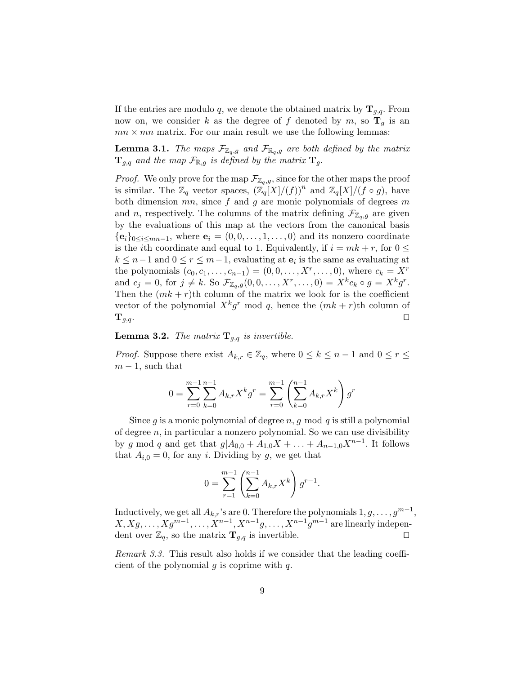If the entries are modulo q, we denote the obtained matrix by  $\mathbf{T}_{g,q}$ . From now on, we consider k as the degree of f denoted by m, so  $\mathbf{T}_g$  is an  $mn \times mn$  matrix. For our main result we use the following lemmas:

**Lemma 3.1.** The maps  $\mathcal{F}_{\mathbb{Z}_q,g}$  and  $\mathcal{F}_{\mathbb{R}_q,g}$  are both defined by the matrix  $\mathbf{T}_{g,q}$  and the map  $\mathcal{F}_{\mathbb{R},g}$  is defined by the matrix  $\mathbf{T}_g$ .

*Proof.* We only prove for the map  $\mathcal{F}_{\mathbb{Z}_q,g}$ , since for the other maps the proof is similar. The  $\mathbb{Z}_q$  vector spaces,  $(\mathbb{Z}_q[X]/(f))^n$  and  $\mathbb{Z}_q[X]/(f \circ g)$ , have both dimension  $mn$ , since  $f$  and  $g$  are monic polynomials of degrees  $m$ and n, respectively. The columns of the matrix defining  $\mathcal{F}_{\mathbb{Z}_q,g}$  are given by the evaluations of this map at the vectors from the canonical basis  ${e_i}_{0\leq i\leq mn-1}$ , where  $e_i = (0,0,\ldots,1,\ldots,0)$  and its nonzero coordinate is the *i*th coordinate and equal to 1. Equivalently, if  $i = mk + r$ , for  $0 \leq$  $k \leq n-1$  and  $0 \leq r \leq m-1$ , evaluating at  $\mathbf{e}_i$  is the same as evaluating at the polynomials  $(c_0, c_1, \ldots, c_{n-1}) = (0, 0, \ldots, X^r, \ldots, 0)$ , where  $c_k = X^r$ and  $c_j = 0$ , for  $j \neq k$ . So  $\mathcal{F}_{\mathbb{Z}_q,g}(0,0,\ldots,X^r,\ldots,0) = X^k c_k \circ g = X^k g^r$ . Then the  $(mk + r)$ th column of the matrix we look for is the coefficient vector of the polynomial  $X^k g^r$  mod q, hence the  $(mk + r)$ th column of  $\mathbf{T}_{g,q}.$ 

**Lemma 3.2.** The matrix  $\mathbf{T}_{q,q}$  is invertible.

*Proof.* Suppose there exist  $A_{k,r} \in \mathbb{Z}_q$ , where  $0 \leq k \leq n-1$  and  $0 \leq r \leq$  $m-1$ , such that

$$
0 = \sum_{r=0}^{m-1} \sum_{k=0}^{n-1} A_{k,r} X^k g^r = \sum_{r=0}^{m-1} \left( \sum_{k=0}^{n-1} A_{k,r} X^k \right) g^r
$$

Since g is a monic polynomial of degree  $n, g \mod q$  is still a polynomial of degree  $n$ , in particular a nonzero polynomial. So we can use divisibility by g mod q and get that  $g|A_{0,0} + A_{1,0}X + \ldots + A_{n-1,0}X^{n-1}$ . It follows that  $A_{i,0} = 0$ , for any *i*. Dividing by *g*, we get that

$$
0 = \sum_{r=1}^{m-1} \left( \sum_{k=0}^{n-1} A_{k,r} X^k \right) g^{r-1}.
$$

Inductively, we get all  $A_{k,r}$ 's are 0. Therefore the polynomials  $1, g, \ldots, g^{m-1}$ ,  $X, Xg, \ldots, Xg^{m-1}, \ldots, X^{n-1}, X^{n-1}g, \ldots, X^{n-1}g^{m-1}$  are linearly independent over  $\mathbb{Z}_q$ , so the matrix  $\mathbf{T}_{g,q}$  is invertible.

Remark 3.3. This result also holds if we consider that the leading coefficient of the polynomial  $g$  is coprime with  $q$ .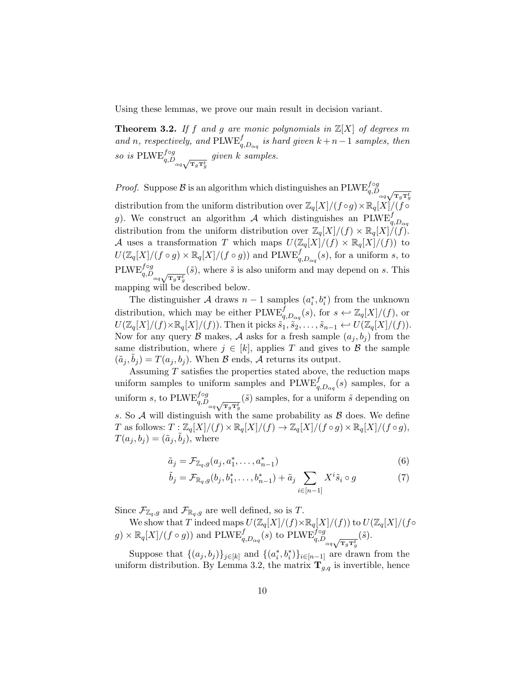Using these lemmas, we prove our main result in decision variant.

**Theorem 3.2.** If f and g are monic polynomials in  $\mathbb{Z}[X]$  of degrees m and n, respectively, and  $\text{PLWE}_{q,D_{\alpha q}}^f$  is hard given  $k+n-1$  samples, then so is  $\text{PLWE}_{q,D_{\alpha q}\sqrt{\text{T}_g\text{T}_g^t}}^{f \circ g}$ given k samples.

*Proof.* Suppose  $\mathcal{B}$  is an algorithm which distinguishes an PLWE<sub>q,D</sub><sub> $\alpha_q \sqrt{\mathbf{r}_g \mathbf{r}_g^t}$ </sub>

distribution from the uniform distribution over  $\mathbb{Z}_q[X]/(f \circ g) \times \mathbb{R}_q[X]/(f \circ g)$ g). We construct an algorithm  $\mathcal A$  which distinguishes an PLWE $_{q,D_{\alpha q}}^f$ distribution from the uniform distribution over  $\mathbb{Z}_q[X]/(f) \times \mathbb{R}_q[X]/(f)$ . A uses a transformation T which maps  $U(\mathbb{Z}_q[X]/(f) \times \mathbb{R}_q[X]/(f))$  to  $U(\mathbb{Z}_q[X]/(f \circ g) \times \mathbb{R}_q[X]/(f \circ g))$  and  $\text{PLWE}_{q,D_{\alpha q}}^f(s)$ , for a uniform s, to  $\text{PLWE}_{q,D_{\alpha q}\sqrt{\mathtt{T}_g\mathtt{T}_g^t}}^{f \circ g}$  $(\tilde{s})$ , where  $\tilde{s}$  is also uniform and may depend on s. This mapping will be described below.

The distinguisher  $A$  draws  $n-1$  samples  $(a_i^*, b_i^*)$  from the unknown distribution, which may be either  $\text{PLWE}_{q,D_{\alpha q}}^f(s)$ , for  $s \leftrightarrow \mathbb{Z}_q[X]/(f)$ , or  $U(\mathbb{Z}_q[X]/(f) \times \mathbb{R}_q[X]/(f)$ . Then it picks  $\tilde{s}_1, \tilde{s}_2, \ldots, \tilde{s}_{n-1} \leftrightarrow U(\mathbb{Z}_q[X]/(f))$ . Now for any query  $\beta$  makes,  $\mathcal A$  asks for a fresh sample  $(a_j, b_j)$  from the same distribution, where  $j \in [k]$ , applies T and gives to B the sample  $(\tilde{a}_j, \tilde{b}_j) = T(a_j, b_j)$ . When  $\tilde{\mathcal{B}}$  ends,  $\tilde{\mathcal{A}}$  returns its output.

Assuming T satisfies the properties stated above, the reduction maps uniform samples to uniform samples and  $\text{PLWE}_{q,D_{\alpha q}}^{f}(s)$  samples, for a uniform  $s$ , to  $\mathrm{PLWE}_{q,D_{\alpha q}\sqrt{\mathtt{T}_g\mathtt{T}_g^t}}^{f \circ g}$  $(\tilde{s})$  samples, for a uniform  $\tilde{s}$  depending on s. So  $A$  will distinguish with the same probability as  $B$  does. We define T as follows:  $T : \mathbb{Z}_q[X]/(f) \times \mathbb{R}_q[X]/(f) \to \mathbb{Z}_q[X]/(f \circ g) \times \mathbb{R}_q[X]/(f \circ g)$ ,  $T(a_j, b_j) = (\tilde{a}_j, \tilde{b}_j)$ , where

$$
\tilde{a}_j = \mathcal{F}_{\mathbb{Z}_q,g}(a_j, a_1^*, \dots, a_{n-1}^*)
$$
\n
$$
(6)
$$

$$
\tilde{b}_{j} = \mathcal{F}_{\mathbb{R}_{q},g}(b_{j}, b_{1}^{*}, \dots, b_{n-1}^{*}) + \tilde{a}_{j} \sum_{i \in [n-1]} X^{i} \tilde{s}_{i} \circ g \tag{7}
$$

Since  $\mathcal{F}_{\mathbb{Z}_q,g}$  and  $\mathcal{F}_{\mathbb{R}_q,g}$  are well defined, so is T.

We show that T indeed maps  $U(\mathbb{Z}_q[X]/(f) \times \mathbb{R}_q[X]/(f))$  to  $U(\mathbb{Z}_q[X]/(f \circ \mathbb{Z}_q[X])$  $g) \times \mathbb{R}_q[X]/(f \circ g)$  and  $\text{PLWE}_{q,D_{\alpha q}}^f(s)$  to  $\text{PLWE}_{q,D_{\alpha q}}^{f \circ g} \sqrt{\text{Tr}_g \text{T}_g^t}$  $(\tilde{s})$ .

Suppose that  $\{(a_j, b_j)\}_{j \in [k]}$  and  $\{(a_i^*, b_i^*)\}_{i \in [n-1]}$  are drawn from the uniform distribution. By Lemma 3.2, the matrix  $\mathbf{T}_{g,q}$  is invertible, hence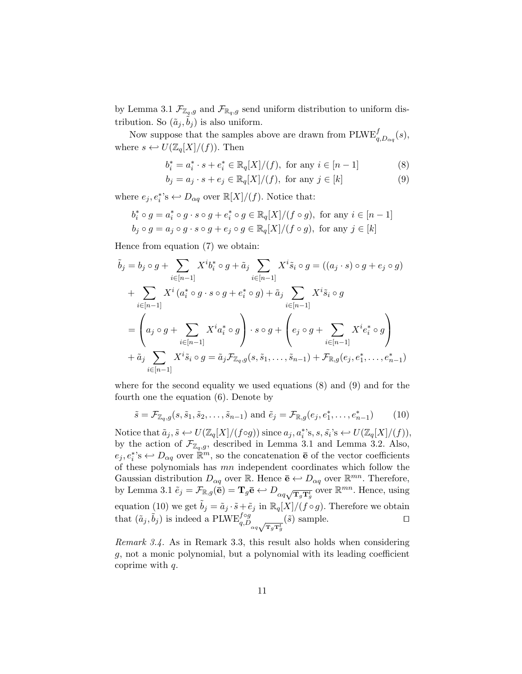by Lemma 3.1  $\mathcal{F}_{\mathbb{Z}_q,g}$  and  $\mathcal{F}_{\mathbb{R}_q,g}$  send uniform distribution to uniform distribution. So  $(\tilde{a}_j, \tilde{b}_j)$  is also uniform.

Now suppose that the samples above are drawn from  $\text{PLWE}_{q, D_{\alpha q}}^{f}(s)$ , where  $s \leftrightarrow U(\mathbb{Z}_q[X]/(f))$ . Then

$$
b_i^* = a_i^* \cdot s + e_i^* \in \mathbb{R}_q[X]/(f), \text{ for any } i \in [n-1]
$$
 (8)

$$
b_j = a_j \cdot s + e_j \in \mathbb{R}_q[X]/(f), \text{ for any } j \in [k]
$$
 (9)

where  $e_j, e_i^*$ 's  $\leftrightarrow D_{\alpha q}$  over  $\mathbb{R}[X]/(f)$ . Notice that:

$$
b_i^* \circ g = a_i^* \circ g \cdot s \circ g + e_i^* \circ g \in \mathbb{R}_q[X]/(f \circ g), \text{ for any } i \in [n-1]
$$
  

$$
b_j \circ g = a_j \circ g \cdot s \circ g + e_j \circ g \in \mathbb{R}_q[X]/(f \circ g), \text{ for any } j \in [k]
$$

Hence from equation (7) we obtain:

$$
\tilde{b}_{j} = b_{j} \circ g + \sum_{i \in [n-1]} X^{i} b_{i}^{*} \circ g + \tilde{a}_{j} \sum_{i \in [n-1]} X^{i} \tilde{s}_{i} \circ g = ((a_{j} \cdot s) \circ g + e_{j} \circ g)
$$
\n
$$
+ \sum_{i \in [n-1]} X^{i} (a_{i}^{*} \circ g \cdot s \circ g + e_{i}^{*} \circ g) + \tilde{a}_{j} \sum_{i \in [n-1]} X^{i} \tilde{s}_{i} \circ g
$$
\n
$$
= \left( a_{j} \circ g + \sum_{i \in [n-1]} X^{i} a_{i}^{*} \circ g \right) \cdot s \circ g + \left( e_{j} \circ g + \sum_{i \in [n-1]} X^{i} e_{i}^{*} \circ g \right)
$$
\n
$$
+ \tilde{a}_{j} \sum_{i \in [n-1]} X^{i} \tilde{s}_{i} \circ g = \tilde{a}_{j} \mathcal{F}_{\mathbb{Z}_{q}, g}(s, \tilde{s}_{1}, \dots, \tilde{s}_{n-1}) + \mathcal{F}_{\mathbb{R}, g}(e_{j}, e_{1}^{*}, \dots, e_{n-1}^{*})
$$

where for the second equality we used equations (8) and (9) and for the fourth one the equation (6). Denote by

$$
\tilde{s} = \mathcal{F}_{\mathbb{Z}_q,g}(s, \tilde{s}_1, \tilde{s}_2, \dots, \tilde{s}_{n-1})
$$
 and  $\tilde{e}_j = \mathcal{F}_{\mathbb{R},g}(e_j, e_1^*, \dots, e_{n-1}^*)$  (10)

Notice that  $\tilde{a}_j$ ,  $\tilde{s} \leftrightarrow U(\mathbb{Z}_q[X]/(f \circ g))$  since  $a_j, a_i^*$ 's,  $s, \tilde{s}_i$ 's  $\leftrightarrow U(\mathbb{Z}_q[X]/(f)),$ by the action of  $\mathcal{F}_{\mathbb{Z}_q,g}$ , described in Lemma 3.1 and Lemma 3.2. Also,  $e_j, e_i^*$ 's  $\leftrightarrow D_{\alpha q}$  over  $\mathbb{R}^m$ , so the concatenation  $\bar{e}$  of the vector coefficients of these polynomials has mn independent coordinates which follow the Gaussian distribution  $D_{\alpha q}$  over R. Hence  $\bar{\mathbf{e}} \leftrightarrow D_{\alpha q}$  over R<sup>mn</sup>. Therefore, by Lemma 3.1  $\tilde{e}_j = \mathcal{F}_{\mathbb{R},g}(\bar{e}) = \mathbf{T}_g \bar{e} \leftrightarrow D_{\alpha q \sqrt{\mathbf{T}_g \mathbf{T}_g^t}}$  over  $\mathbb{R}^{mn}$ . Hence, using equation (10) we get  $\tilde{b}_j = \tilde{a}_j \cdot \tilde{s} + \tilde{e}_j$  in  $\mathbb{R}_q[X]/(f \circ g)$ . Therefore we obtain that  $(\tilde{a}_j, \tilde{b}_j)$  is indeed a PLWE<sup>fog</sup><sub>a, $D_{\alpha q \sqrt{\mathbf{T}_g \mathbf{T}_g^t}}$ </sub>  $(\tilde{s})$  sample.  $\square$ 

Remark 3.4. As in Remark 3.3, this result also holds when considering g, not a monic polynomial, but a polynomial with its leading coefficient coprime with q.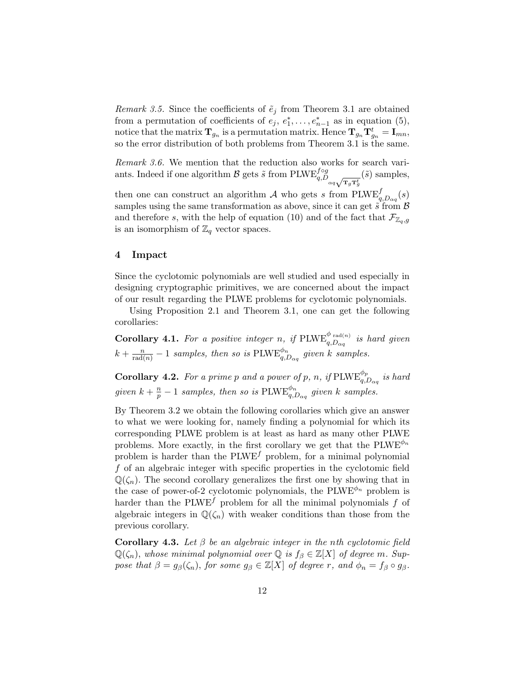*Remark 3.5.* Since the coefficients of  $\tilde{e}_i$  from Theorem 3.1 are obtained from a permutation of coefficients of  $e_j, e_1^*, \ldots, e_{n-1}^*$  as in equation (5), notice that the matrix  $\mathbf{T}_{g_n}$  is a permutation matrix. Hence  $\mathbf{T}_{g_n} \mathbf{T}_{g_n}^t = \mathbf{I}_{mn}$ , so the error distribution of both problems from Theorem 3.1 is the same.

Remark 3.6. We mention that the reduction also works for search variants. Indeed if one algorithm  $\mathcal{B}$  gets  $\tilde{s}$  from  $\text{PLWE}_{q,D}^{f \circ g}$ <sub> $\alpha_q \sqrt{\mathbf{r}_g \mathbf{r}_g^t}$ </sub>  $(\tilde{s})$  samples,

then one can construct an algorithm  $\mathcal A$  who gets s from  $\text{PLWE}_{q,D_{\alpha q}}^f(s)$ samples using the same transformation as above, since it can get  $\tilde{s}$  from  $\beta$ and therefore s, with the help of equation (10) and of the fact that  $\mathcal{F}_{\mathbb{Z}_q,g}$ is an isomorphism of  $\mathbb{Z}_q$  vector spaces.

# 4 Impact

Since the cyclotomic polynomials are well studied and used especially in designing cryptographic primitives, we are concerned about the impact of our result regarding the PLWE problems for cyclotomic polynomials.

Using Proposition 2.1 and Theorem 3.1, one can get the following corollaries:

**Corollary 4.1.** For a positive integer n, if  $\text{PLWE}_{q,D_{\alpha q}}^{\phi \text{ rad}(n)}$  is hard given  $k + \frac{n}{\text{rad}(n)} - 1$  samples, then so is  $\text{PLWE}_{q, D_{\alpha q}}^{\phi_n}$  given k samples.

**Corollary 4.2.** For a prime p and a power of p, n, if  $\text{PLWE}_{q,D_{\alpha q}}^{\phi_p}$  is hard given  $k + \frac{n}{p} - 1$  samples, then so is  $\text{PLWE}_{q, D_{\alpha q}}^{\phi_n}$  given k samples.

By Theorem 3.2 we obtain the following corollaries which give an answer to what we were looking for, namely finding a polynomial for which its corresponding PLWE problem is at least as hard as many other PLWE problems. More exactly, in the first corollary we get that the  $\text{PLWE}^{\phi_n}$ problem is harder than the  $\text{PLWE}^f$  problem, for a minimal polynomial f of an algebraic integer with specific properties in the cyclotomic field  $\mathbb{Q}(\zeta_n)$ . The second corollary generalizes the first one by showing that in the case of power-of-2 cyclotomic polynomials, the PLWE $^{\phi_n}$  problem is harder than the PLWE<sup>f</sup> problem for all the minimal polynomials f of algebraic integers in  $\mathbb{Q}(\zeta_n)$  with weaker conditions than those from the previous corollary.

Corollary 4.3. Let  $\beta$  be an algebraic integer in the nth cyclotomic field  $\mathbb{Q}(\zeta_n)$ , whose minimal polynomial over  $\mathbb{Q}$  is  $f_\beta \in \mathbb{Z}[X]$  of degree m. Suppose that  $\beta = g_{\beta}(\zeta_n)$ , for some  $g_{\beta} \in \mathbb{Z}[X]$  of degree r, and  $\phi_n = f_{\beta} \circ g_{\beta}$ .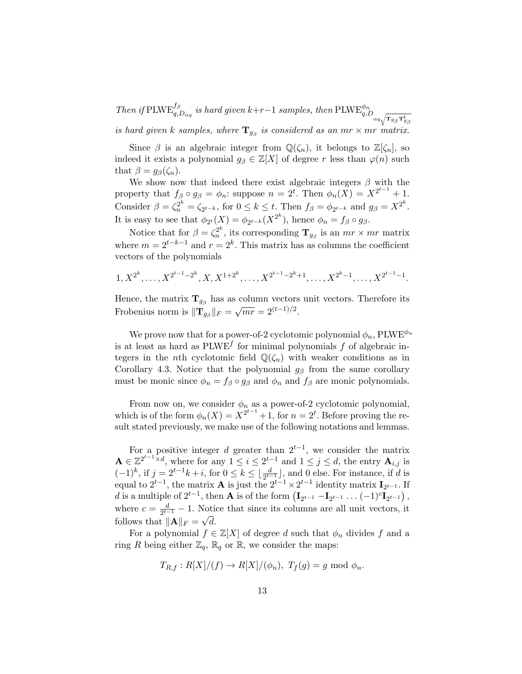Then if PLWE $_{q,D_{\alpha q}}^{f_{\beta}}$  is hard given k+r-1 samples, then PLWE $_{q,D_{\alpha q}}^{{\phi_n}}$  $_{\sqrt{\mathbf{T}_{g_{\beta}}\mathbf{T}_{g_{\beta}}^{t_{\beta}}}}$ is hard given k samples, where  $\mathbf{T}_{g_{\beta}}$  is considered as an  $mr \times mr$  matrix.

Since  $\beta$  is an algebraic integer from  $\mathbb{Q}(\zeta_n)$ , it belongs to  $\mathbb{Z}[\zeta_n]$ , so indeed it exists a polynomial  $g_{\beta} \in \mathbb{Z}[X]$  of degree r less than  $\varphi(n)$  such that  $\beta = g_{\beta}(\zeta_n)$ .

We show now that indeed there exist algebraic integers  $\beta$  with the property that  $f_\beta \circ g_\beta = \phi_n$ : suppose  $n = 2^t$ . Then  $\phi_n(X) = X^{2^{t-1}} + 1$ . Consider  $\beta = \zeta_n^{2^k} = \zeta_{2^{t-k}}$ , for  $0 \le k \le t$ . Then  $f_\beta = \phi_{2^{t-k}}$  and  $g_\beta = X^{2^k}$ . It is easy to see that  $\phi_{2^t}(X) = \phi_{2^{t-k}}(X^{2^k})$ , hence  $\phi_n = f_\beta \circ g_\beta$ .

Notice that for  $\beta = \zeta_n^{2^k}$ , its corresponding  $\mathbf{T}_{g_\beta}$  is an  $mr \times mr$  matrix where  $m = 2^{t-k-1}$  and  $r = 2^k$ . This matrix has as columns the coefficient vectors of the polynomials

$$
1, X^{2^k}, \ldots, X^{2^{t-1}-2^k}, X, X^{1+2^k}, \ldots, X^{2^{t-1}-2^k+1}, \ldots, X^{2^{k-1}}, \ldots, X^{2^{t-1}-1}.
$$

Hence, the matrix  $\mathbf{T}_{g_{\beta}}$  has as column vectors unit vectors. Therefore its Frobenius norm is  $\|\mathbf{T}_{g_\beta}\|_F = \sqrt{mr} = 2^{(t-1)/2}$ .

We prove now that for a power-of-2 cyclotomic polynomial  $\phi_n$ , PLWE $^{\phi_n}$ is at least as hard as  $\text{PLWE}^f$  for minimal polynomials f of algebraic integers in the *n*th cyclotomic field  $\mathbb{Q}(\zeta_n)$  with weaker conditions as in Corollary 4.3. Notice that the polynomial  $g_\beta$  from the same corollary must be monic since  $\phi_n = f_\beta \circ g_\beta$  and  $\phi_n$  and  $f_\beta$  are monic polynomials.

From now on, we consider  $\phi_n$  as a power-of-2 cyclotomic polynomial, which is of the form  $\phi_n(X) = X^{2^{t-1}} + 1$ , for  $n = 2^t$ . Before proving the result stated previously, we make use of the following notations and lemmas.

For a positive integer d greater than  $2^{t-1}$ , we consider the matrix  $\mathbf{A} \in \mathbb{Z}^{2^{t-1} \times d}$ , where for any  $1 \leq i \leq 2^{t-1}$  and  $1 \leq j \leq d$ , the entry  $\mathbf{A}_{i,j}$  is  $(-1)^k$ , if  $j = 2^{t-1}k + i$ , for  $0 \le k \le \lfloor \frac{d}{2^{t-1}} \rfloor$ , and 0 else. For instance, if d is equal to  $2^{t-1}$ , the matrix **A** is just the  $2^{t-1} \times 2^{t-1}$  identity matrix  $\mathbf{I}_{2^{t-1}}$ . If d is a multiple of  $2^{t-1}$ , then **A** is of the form  $(\mathbf{I}_{2^{t-1}} - \mathbf{I}_{2^{t-1}} \dots (-1)^{c} \mathbf{I}_{2^{t-1}})$ , where  $c = \frac{d}{2^{t-1}}$  $\frac{d}{2^{t-1}}-1$ . Notice that since its columns are all unit vectors, it follows that  $\|\mathbf{A}\|_F = \sqrt{d}$ .

For a polynomial  $f \in \mathbb{Z}[X]$  of degree d such that  $\phi_n$  divides f and a ring R being either  $\mathbb{Z}_q$ ,  $\mathbb{R}_q$  or  $\mathbb{R}$ , we consider the maps:

$$
T_{R,f}:R[X]/(f) \to R[X]/(\phi_n), T_f(g) = g \text{ mod } \phi_n.
$$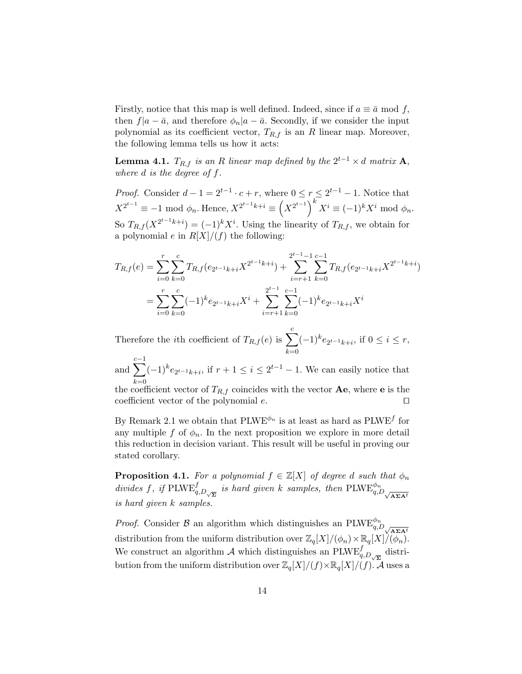Firstly, notice that this map is well defined. Indeed, since if  $a \equiv \bar{a} \mod f$ , then  $f|a - \bar{a}$ , and therefore  $\phi_n|a - \bar{a}$ . Secondly, if we consider the input polynomial as its coefficient vector,  $T_{R,f}$  is an R linear map. Moreover, the following lemma tells us how it acts:

**Lemma 4.1.**  $T_{R,f}$  is an R linear map defined by the  $2^{t-1} \times d$  matrix  $\mathbf{A},$ where  $d$  is the degree of  $f$ .

*Proof.* Consider  $d-1=2^{t-1}\cdot c+r$ , where  $0\leq r\leq 2^{t-1}-1$ . Notice that  $X^{2^{t-1}} \equiv -1 \mod \phi_n$ . Hence,  $X^{2^{t-1}k+i} \equiv \left(X^{2^{t-1}}\right)^k X^i \equiv (-1)^k X^i \mod \phi_n$ . So  $T_{R,f}(X^{2^{t-1}k+i}) = (-1)^k X^i$ . Using the linearity of  $T_{R,f}$ , we obtain for a polynomial e in  $R[X]/(f)$  the following:

$$
T_{R,f}(e) = \sum_{i=0}^{r} \sum_{k=0}^{c} T_{R,f}(e_{2^{t-1}k+i} X^{2^{t-1}k+i}) + \sum_{i=r+1}^{2^{t-1}-1} \sum_{k=0}^{c-1} T_{R,f}(e_{2^{t-1}k+i} X^{2^{t-1}k+i})
$$
  
= 
$$
\sum_{i=0}^{r} \sum_{k=0}^{c} (-1)^{k} e_{2^{t-1}k+i} X^{i} + \sum_{i=r+1}^{2^{t-1}} \sum_{k=0}^{c-1} (-1)^{k} e_{2^{t-1}k+i} X^{i}
$$

Therefore the *i*th coefficient of  $T_{R,f}(e)$  is  $\sum_{k=1}^{c}$  $_{k=0}$  $(-1)^k e_{2^{t-1}k+i}$ , if  $0 \le i \le r$ ,

and  $\sum_{i=1}^{c-1}$  $_{k=0}$  $(-1)^{k}e_{2^{t-1}k+i}$ , if  $r+1 \leq i \leq 2^{t-1}-1$ . We can easily notice that

the coefficient vector of  $T_{R,f}$  coincides with the vector  $\mathbf{A}\mathbf{e}$ , where **e** is the coefficient vector of the polynomial  $e$ .

By Remark 2.1 we obtain that  $\text{PLWE}^{\phi_n}$  is at least as hard as  $\text{PLWE}^f$  for any multiple f of  $\phi_n$ . In the next proposition we explore in more detail this reduction in decision variant. This result will be useful in proving our stated corollary.

**Proposition 4.1.** For a polynomial  $f \in \mathbb{Z}[X]$  of degree d such that  $\phi_n$ divides f, if  $\text{PLWE}_{q,D,\sqrt{\Sigma}}^f$  is hard given k samples, then  $\text{PLWE}_{q,D,\sqrt{\mathbf{AZA}^t}}^{\phi_n}$ is hard given k samples.

*Proof.* Consider  $\beta$  an algorithm which distinguishes an PLWE<sup> $\phi_n$ </sup><sub>q,D</sup> $\sqrt{\mathbf{A\Sigma A}^t}$ </sub> distribution from the uniform distribution over  $\mathbb{Z}_q[X]/(\phi_n) \times \mathbb{R}_q[X]/(\phi_n)$ . We construct an algorithm  $\mathcal A$  which distinguishes an PLWE $_{q,D_{\sqrt{\Sigma}}}^f$  distribution from the uniform distribution over  $\mathbb{Z}_q[X]/(f)\times\mathbb{R}_q[X]/(f).$  A uses a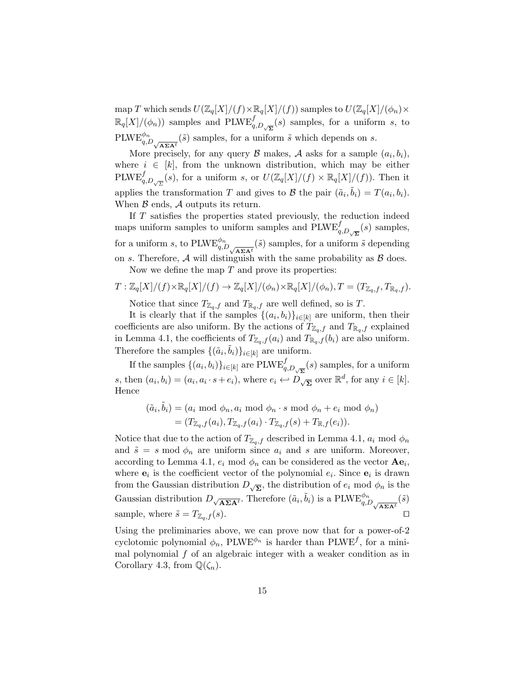map T which sends  $U(\mathbb{Z}_q[X]/(f) \times \mathbb{R}_q[X]/(f))$  samples to  $U(\mathbb{Z}_q[X]/(\phi_n) \times$  $\mathbb{R}_q[X]/(\phi_n)$  samples and PLWE $_{q,D,\sqrt{\Sigma}}^f(s)$  samples, for a uniform s, to  $\text{PLWE}_{q,D}^{\phi_n}(\tilde{s})$  samples, for a uniform  $\tilde{s}$  which depends on s.

More precisely, for any query  $\mathcal{B}$  makes,  $\mathcal{A}$  asks for a sample  $(a_i, b_i)$ , where  $i \in [k]$ , from the unknown distribution, which may be either PLWE $_{q,D_{\sqrt{\Sigma}}}^{f}(s)$ , for a uniform s, or  $U(\mathbb{Z}_q[X]/(f) \times \mathbb{R}_q[X]/(f)$ ). Then it applies the transformation T and gives to B the pair  $(\tilde{a}_i, \tilde{b}_i) = T(a_i, b_i)$ . When  $\beta$  ends,  $\mathcal A$  outputs its return.

If  $T$  satisfies the properties stated previously, the reduction indeed maps uniform samples to uniform samples and  $\text{PLWE}_{q,D_{\sqrt{\Sigma}}}^f(s)$  samples, for a uniform s, to  $\text{PLWE}_{q,D}^{\phi_n}(\tilde{s})$  samples, for a uniform  $\tilde{s}$  depending on s. Therefore,  $A$  will distinguish with the same probability as  $B$  does. Now we define the map  $T$  and prove its properties:

$$
T: \mathbb{Z}_q[X]/(f) \times \mathbb{R}_q[X]/(f) \to \mathbb{Z}_q[X]/(\phi_n) \times \mathbb{R}_q[X]/(\phi_n), T = (T_{\mathbb{Z}_q,f}, T_{\mathbb{R}_q,f}).
$$

Notice that since  $T_{\mathbb{Z}_q,f}$  and  $T_{\mathbb{R}_q,f}$  are well defined, so is T.

It is clearly that if the samples  $\{(a_i, b_i)\}_{i \in [k]}$  are uniform, then their coefficients are also uniform. By the actions of  $T_{\mathbb{Z}_q,f}$  and  $T_{\mathbb{R}_q,f}$  explained in Lemma 4.1, the coefficients of  $T_{\mathbb{Z}_q,f}(a_i)$  and  $T_{\mathbb{R}_q,f}(b_i)$  are also uniform. Therefore the samples  $\{(\tilde{a}_i, \tilde{b}_i)\}_{i \in [k]}$  are uniform.

If the samples  $\{(a_i, b_i)\}_{i \in [k]}$  are  $\text{PLWE}_{q, D_{\sqrt{\Sigma}}}^f(s)$  samples, for a uniform s, then  $(a_i, b_i) = (a_i, a_i \cdot s + e_i)$ , where  $e_i \leftrightarrow D_{\sqrt{\Sigma}}$  over  $\mathbb{R}^d$ , for any  $i \in [k]$ . Hence

$$
(\tilde{a}_i, \tilde{b}_i) = (a_i \mod \phi_n, a_i \mod \phi_n \cdot s \mod \phi_n + e_i \mod \phi_n)
$$
  
=  $(T_{\mathbb{Z}_q, f}(a_i), T_{\mathbb{Z}_q, f}(a_i) \cdot T_{\mathbb{Z}_q, f}(s) + T_{\mathbb{R}, f}(e_i)).$ 

Notice that due to the action of  $T_{\mathbb{Z}_q,f}$  described in Lemma 4.1,  $a_i \mod \phi_n$ and  $\tilde{s} = s \mod \phi_n$  are uniform since  $a_i$  and s are uniform. Moreover, according to Lemma 4.1,  $e_i$  mod  $\phi_n$  can be considered as the vector  $Ae_i$ , where  $e_i$  is the coefficient vector of the polynomial  $e_i$ . Since  $e_i$  is drawn from the Gaussian distribution  $D_{\sqrt{\Sigma}}$ , the distribution of  $e_i$  mod  $\phi_n$  is the Gaussian distribution  $D_{\sqrt{\mathbf{A\Sigma A}t}}$ . Therefore  $(\tilde{a}_i, \tilde{b}_i)$  is a  $\text{PLWE}_{q, D_{\sqrt{\mathbf{A\Sigma A}t}}}^{\phi_n}(\tilde{s})$ sample, where  $\tilde{s} = T_{\mathbb{Z}_q,f}(s)$ .

Using the preliminaries above, we can prove now that for a power-of-2 cyclotomic polynomial  $\phi_n$ , PLWE<sup> $\phi_n$ </sup> is harder than PLWE<sup>f</sup>, for a minimal polynomial  $f$  of an algebraic integer with a weaker condition as in Corollary 4.3, from  $\mathbb{Q}(\zeta_n)$ .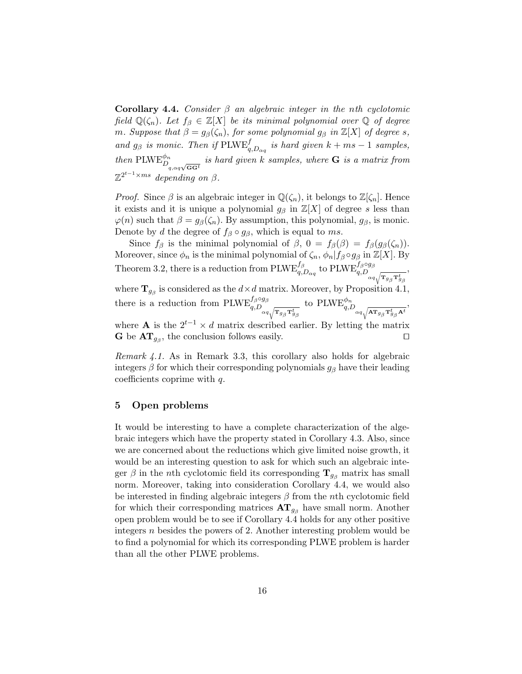**Corollary 4.4.** Consider  $\beta$  an algebraic integer in the nth cyclotomic field  $\mathbb{Q}(\zeta_n)$ . Let  $f_\beta \in \mathbb{Z}[X]$  be its minimal polynomial over  $\mathbb{Q}$  of degree m. Suppose that  $\beta = g_{\beta}(\zeta_n)$ , for some polynomial  $g_{\beta}$  in  $\mathbb{Z}[X]$  of degree s, and  $g_{\beta}$  is monic. Then if PLWE<sub>q,D<sub> $\alpha$ q</sub> is hard given  $k + ms - 1$  samples,</sub> then  $\text{PLWE}_{D_{q,\alpha q}\sqrt{\mathbf{G}\mathbf{G}^t}}^{ \phi_n}$  is hard given k samples, where **G** is a matrix from  $\mathbb{Z}^{2^{t-1}\times ms}$  depending on  $\beta$ .

*Proof.* Since  $\beta$  is an algebraic integer in  $\mathbb{Q}(\zeta_n)$ , it belongs to  $\mathbb{Z}[\zeta_n]$ . Hence it exists and it is unique a polynomial  $g_\beta$  in  $\mathbb{Z}[X]$  of degree s less than  $\varphi(n)$  such that  $\beta = g_{\beta}(\zeta_n)$ . By assumption, this polynomial,  $g_{\beta}$ , is monic. Denote by d the degree of  $f_\beta \circ g_\beta$ , which is equal to ms.

Since  $f_\beta$  is the minimal polynomial of  $\beta$ ,  $0 = f_\beta(\beta) = f_\beta(g_\beta(\zeta_n))$ . Moreover, since  $\phi_n$  is the minimal polynomial of  $\zeta_n$ ,  $\phi_n|f_\beta \circ g_\beta$  in  $\mathbb{Z}[X]$ . By Theorem 3.2, there is a reduction from  $\text{PLWE}_{q,D_{\alpha q}}^{f_{\beta}}$  to  $\text{PLWE}_{q,D_{\alpha q}}^{f_{\beta \circ g_{\beta}}}$ , where  $\mathbf{T}_{g_{\beta}}$  is considered as the  $d \times d$  matrix. Moreover, by Proposition 4.1, there is a reduction from  $\text{PLWE}_{q,D}^{f_\beta \circ g_\beta}$ <br> $\frac{q_\alpha \sqrt{\mathbf{T}_{g_\beta} \mathbf{T}_{g_\beta}^t}}{q_\beta}$ to  $\mathrm{PLWE}_{q,D}^{\phi_n}{}_{\alpha q} \sqrt{\mathbf{A}\mathbf{T}_{g_\beta}\mathbf{T}_{g_\beta}^t\mathbf{A}^t}},$ where **A** is the  $2^{t-1} \times d$  matrix described earlier. By letting the matrix **G** be  $AT_{g_\beta}$ , the conclusion follows easily.

Remark 4.1. As in Remark 3.3, this corollary also holds for algebraic integers  $\beta$  for which their corresponding polynomials  $g_{\beta}$  have their leading coefficients coprime with q.

# 5 Open problems

It would be interesting to have a complete characterization of the algebraic integers which have the property stated in Corollary 4.3. Also, since we are concerned about the reductions which give limited noise growth, it would be an interesting question to ask for which such an algebraic integer  $\beta$  in the *n*th cyclotomic field its corresponding  $\mathbf{T}_{g_{\beta}}$  matrix has small norm. Moreover, taking into consideration Corollary 4.4, we would also be interested in finding algebraic integers  $\beta$  from the nth cyclotomic field for which their corresponding matrices  $AT_{g\beta}$  have small norm. Another open problem would be to see if Corollary 4.4 holds for any other positive integers  $n$  besides the powers of 2. Another interesting problem would be to find a polynomial for which its corresponding PLWE problem is harder than all the other PLWE problems.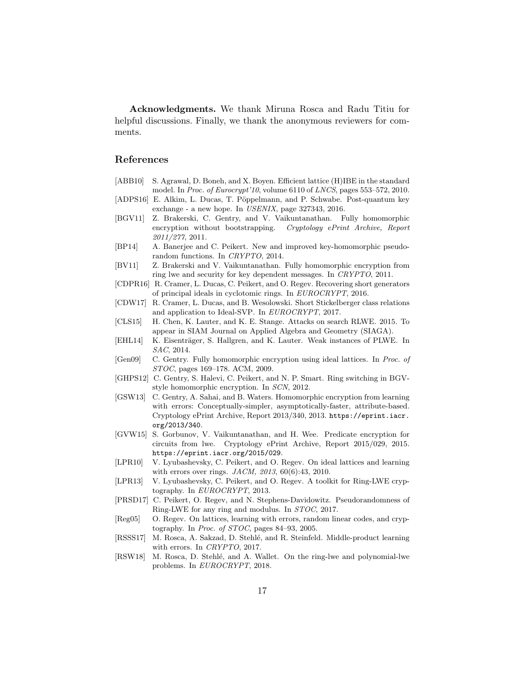Acknowledgments. We thank Miruna Rosca and Radu Titiu for helpful discussions. Finally, we thank the anonymous reviewers for comments.

# References

- [ABB10] S. Agrawal, D. Boneh, and X. Boyen. Efficient lattice (H)IBE in the standard model. In Proc. of Eurocrypt'10, volume 6110 of LNCS, pages 553–572, 2010.
- [ADPS16] E. Alkim, L. Ducas, T. Pöppelmann, and P. Schwabe. Post-quantum key exchange - a new hope. In USENIX, page 327343, 2016.
- [BGV11] Z. Brakerski, C. Gentry, and V. Vaikuntanathan. Fully homomorphic encryption without bootstrapping. Cryptology ePrint Archive, Report 2011/277, 2011.
- [BP14] A. Banerjee and C. Peikert. New and improved key-homomorphic pseudorandom functions. In CRYPTO, 2014.
- [BV11] Z. Brakerski and V. Vaikuntanathan. Fully homomorphic encryption from ring lwe and security for key dependent messages. In CRYPTO, 2011.
- [CDPR16] R. Cramer, L. Ducas, C. Peikert, and O. Regev. Recovering short generators of principal ideals in cyclotomic rings. In EUROCRYPT, 2016.
- [CDW17] R. Cramer, L. Ducas, and B. Wesolowski. Short Stickelberger class relations and application to Ideal-SVP. In EUROCRYPT, 2017.
- [CLS15] H. Chen, K. Lauter, and K. E. Stange. Attacks on search RLWE. 2015. To appear in SIAM Journal on Applied Algebra and Geometry (SIAGA).
- [EHL14] K. Eisenträger, S. Hallgren, and K. Lauter. Weak instances of PLWE. In SAC, 2014.
- [Gen09] C. Gentry. Fully homomorphic encryption using ideal lattices. In Proc. of STOC, pages 169–178. ACM, 2009.
- [GHPS12] C. Gentry, S. Halevi, C. Peikert, and N. P. Smart. Ring switching in BGVstyle homomorphic encryption. In SCN, 2012.
- [GSW13] C. Gentry, A. Sahai, and B. Waters. Homomorphic encryption from learning with errors: Conceptually-simpler, asymptotically-faster, attribute-based. Cryptology ePrint Archive, Report 2013/340, 2013. https://eprint.iacr. org/2013/340.
- [GVW15] S. Gorbunov, V. Vaikuntanathan, and H. Wee. Predicate encryption for circuits from lwe. Cryptology ePrint Archive, Report 2015/029, 2015. https://eprint.iacr.org/2015/029.
- [LPR10] V. Lyubashevsky, C. Peikert, and O. Regev. On ideal lattices and learning with errors over rings.  $JACM$ ,  $2013$ ,  $60(6):43$ ,  $2010$ .
- [LPR13] V. Lyubashevsky, C. Peikert, and O. Regev. A toolkit for Ring-LWE cryptography. In EUROCRYPT, 2013.
- [PRSD17] C. Peikert, O. Regev, and N. Stephens-Davidowitz. Pseudorandomness of Ring-LWE for any ring and modulus. In STOC, 2017.
- [Reg05] O. Regev. On lattices, learning with errors, random linear codes, and cryptography. In Proc. of STOC, pages 84–93, 2005.
- [RSSS17] M. Rosca, A. Sakzad, D. Stehlé, and R. Steinfeld. Middle-product learning with errors. In CRYPTO, 2017.
- [RSW18] M. Rosca, D. Stehlé, and A. Wallet. On the ring-lwe and polynomial-lwe problems. In EUROCRYPT, 2018.